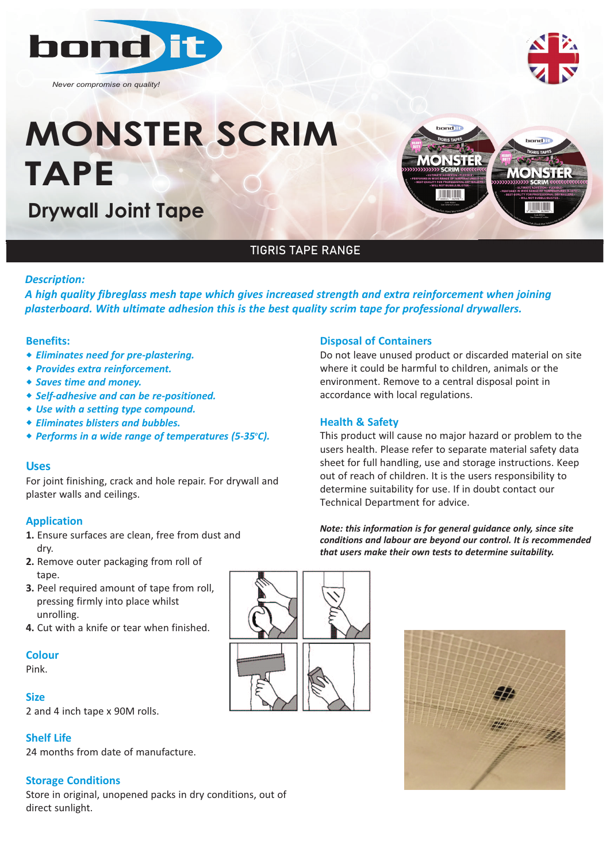

*Never compromise on quality!*

# **MONSTER SCRIM TAPE**

**Drywall Joint Tape**



# TIGRIS TAPE RANGE

## *Description:*

*A high quality fibreglass mesh tape which gives increased strength and extra reinforcement when joining plasterboard. With ultimate adhesion this is the best quality scrim tape for professional drywallers.*

#### **Benefits:**

- ◆ *Eliminates need for pre-plastering.*
- w *Provides extra reinforcement.*
- w *Saves time and money.*
- w *Self‐adhesive and can be re‐positioned.*
- \* Use with a setting type compound.
- w *Eliminates blisters and bubbles.*
- **◆ Performs in a wide range of temperatures (5-35°C).**

#### **Uses**

For joint finishing, crack and hole repair. For drywall and plaster walls and ceilings.

# **Application**

- **1.** Ensure surfaces are clean, free from dust and dry.
- **2.** Remove outer packaging from roll of tane.
- **3.** Peel required amount of tape from roll, pressing firmly into place whilst unrolling.
- **4.** Cut with a knife or tear when finished.

# **Colour**

Pink.

# **Size**

2 and 4 inch tape x 90M rolls.

# **Shelf Life**

24 months from date of manufacture.

# **Storage Conditions**

Store in original, unopened packs in dry conditions, out of direct sunlight.



Do not leave unused product or discarded material on site where it could be harmful to children, animals or the environment. Remove to a central disposal point in accordance with local regulations.

## **Health & Safety**

This product will cause no major hazard or problem to the users health. Please refer to separate material safety data sheet for full handling, use and storage instructions. Keep out of reach of children. It is the users responsibility to determine suitability for use. If in doubt contact our Technical Department for advice.

*Note: this information is for general guidance only, since site conditions and labour are beyond our control. It is recommended that users make their own tests to determine suitability.*